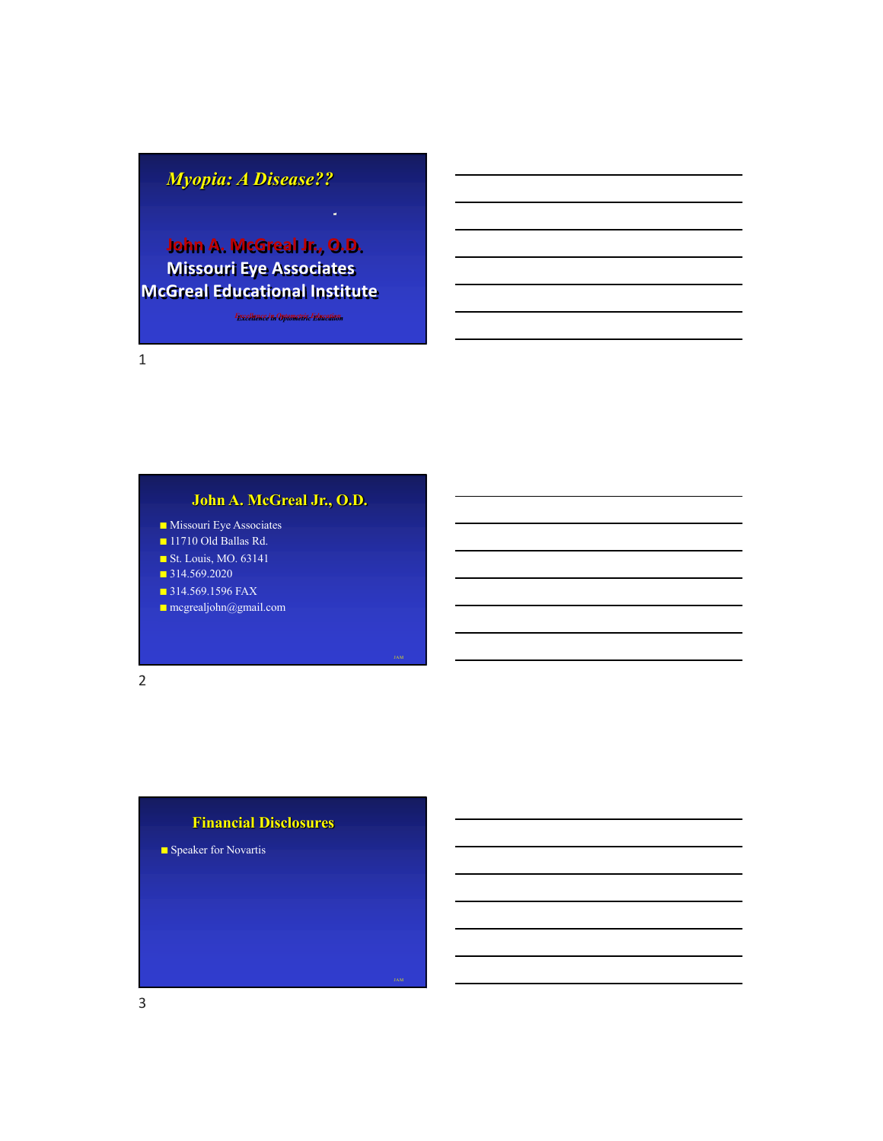# *Myopia: A Disease??*

# **John A. McGreal Jr., O.D. Missouri Eye Associates McGreal Educational Institute**

*Excellence in Optometric Education*

1

# **John A. McGreal Jr., O.D.**

- Missouri Eye Associates
- 11710 Old Ballas Rd.
- St. Louis, MO. 63141
- 314.569.2020
- 314.569.1596 FAX
- mcgrealjohn@gmail.com

2

#### **Financial Disclosures**

JAM

■ Speaker for Novartis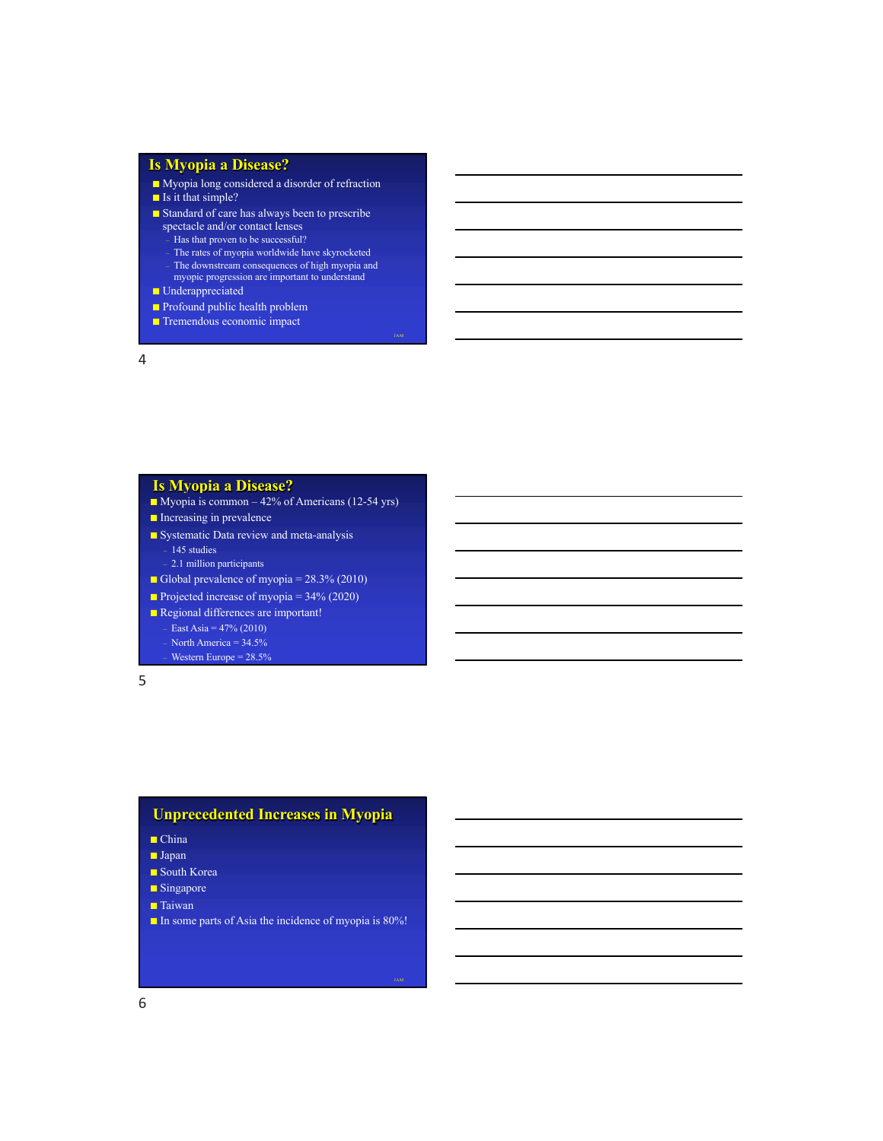## **Is Myopia a Disease?**

- Myopia long considered a disorder of refraction
- Is it that simple?
- Standard of care has always been to prescribe
	- spectacle and/or contact lenses
		- Has that proven to be successful?
		- The rates of myopia worldwide have skyrocketed The downstream consequences of high myopia and

JAM

JAM

- myopic progression are important to understand
- Underappreciated
- Profound public health problem
- Tremendous economic impact

4

#### **Is Myopia a Disease?**

- Myopia is common 42% of Americans (12-54 yrs)
- Increasing in prevalence
- Systematic Data review and meta-analysis
	- 145 studies
	- 2.1 million participants
- Global prevalence of myopia = 28.3% (2010)
- Projected increase of myopia =  $34\%$  (2020)
- Regional differences are important!
- East Asia =  $47% (2010)$ North America =  $34.5%$ – Western Europe = 28.5%

5

#### **Unprecedented Increases in Myopia**

- China
- Japan
- South Korea
- Singapore
- Taiwan
- In some parts of Asia the incidence of myopia is 80%!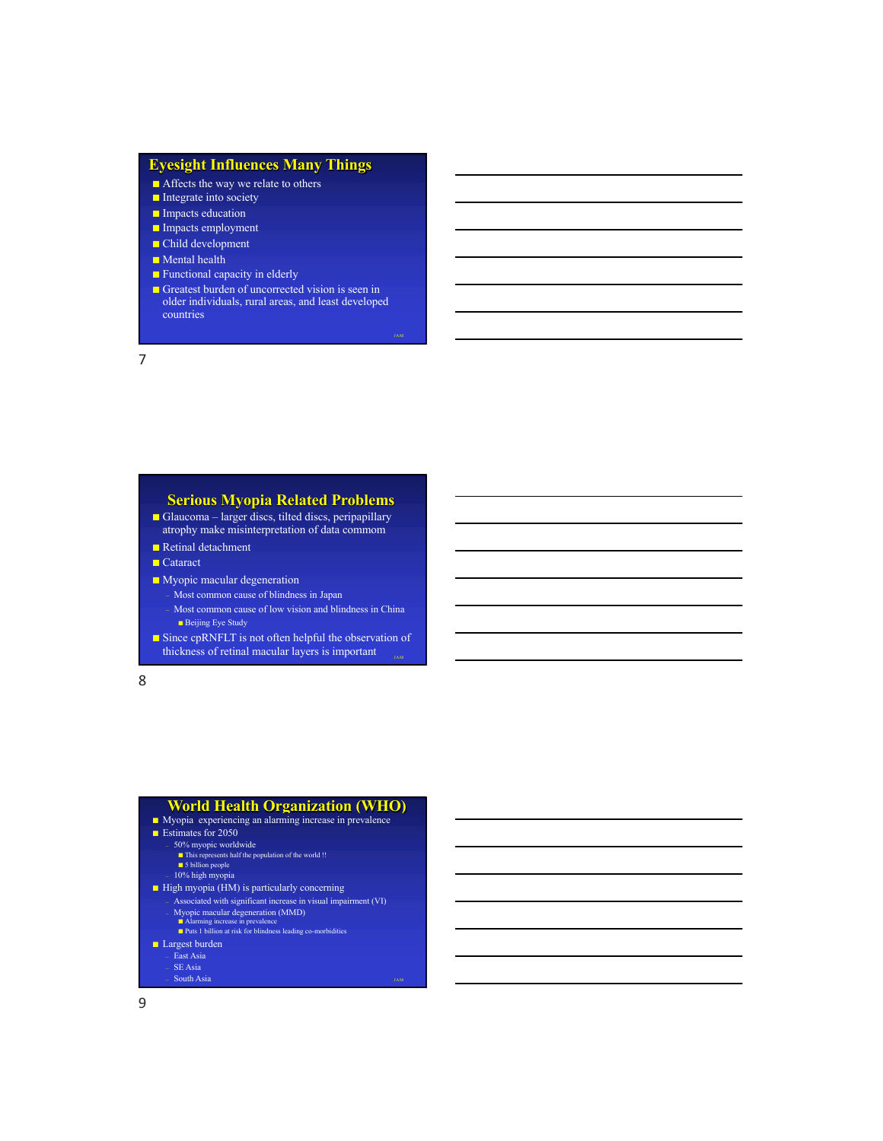#### **Eyesight Influences Many Things**

- Affects the way we relate to others
- Integrate into society
- Impacts education
- Impacts employment
- Child development
- Mental health
- Functional capacity in elderly
- Greatest burden of uncorrected vision is seen in older individuals, rural areas, and least developed countries

JAM

7

# **Serious Myopia Related Problems**

- Glaucoma larger discs, tilted discs, peripapillary atrophy make misinterpretation of data commom
- Retinal detachment
- Cataract
- Myopic macular degeneration
	- Most common cause of blindness in Japan
	- Most common cause of low vision and blindness in China ■ Beijing Eye Study
- Since cpRNFLT is not often helpful the observation of thickness of retinal macular layers is important

8

# **World Health Organization (WHO)** ■ Myopia experiencing an alarming increase in prevalence ■ Estimates for 2050 – 50% myopic worldwide ■ This represents half the population of the world !! ■ 5 billion people – 10% high myopia ■ High myopia (HM) is particularly concerning – Associated with significant increase in visual impairment (VI) – Myopic macular degeneration (MMD) ■ Alarming increase in prevalence ■ Puts 1 billion at risk for blindness leading co-morbidities ■ Largest burden – East Asia  $\rm SE$ Asia

JAM

– South Asia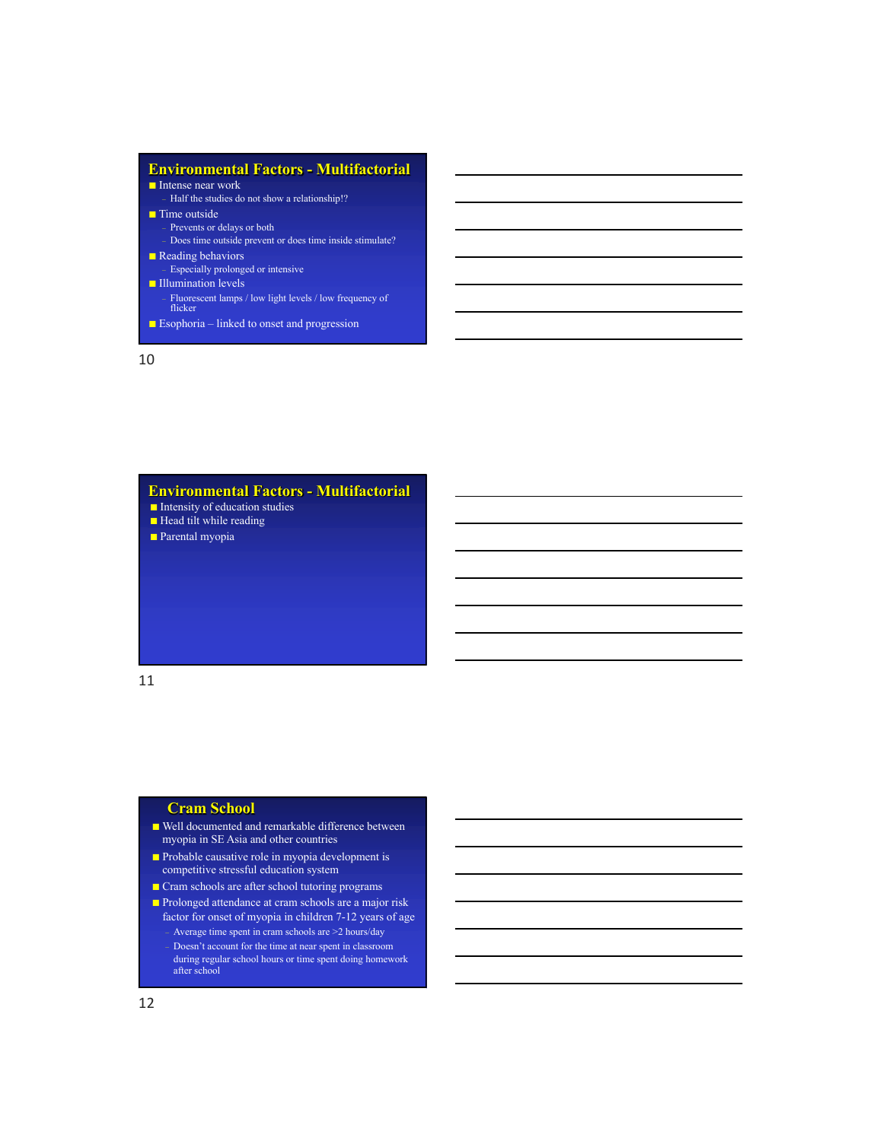# **Environmental Factors - Multifactorial**

- Intense near work
- Half the studies do not show a relationship!? ■ Time outside
- Prevents or delays or both
- Does time outside prevent or does time inside stimulate?
- Reading behaviors
- Especially prolonged or intensive ■ Illumination levels
- Fluorescent lamps / low light levels / low frequency of flicker
- Esophoria linked to onset and progression

10

# **Environmental Factors - Multifactorial**

- Intensity of education studies
- Head tilt while reading
- Parental myopia

#### 11

#### **Cram School**

- Well documented and remarkable difference between myopia in SE Asia and other countries
- Probable causative role in myopia development is competitive stressful education system
- Cram schools are after school tutoring programs
- Prolonged attendance at cram schools are a major risk factor for onset of myopia in children 7-12 years of age – Average time spent in cram schools are >2 hours/day – Doesn't account for the time at near spent in classroom during regular school hours or time spent doing homework after school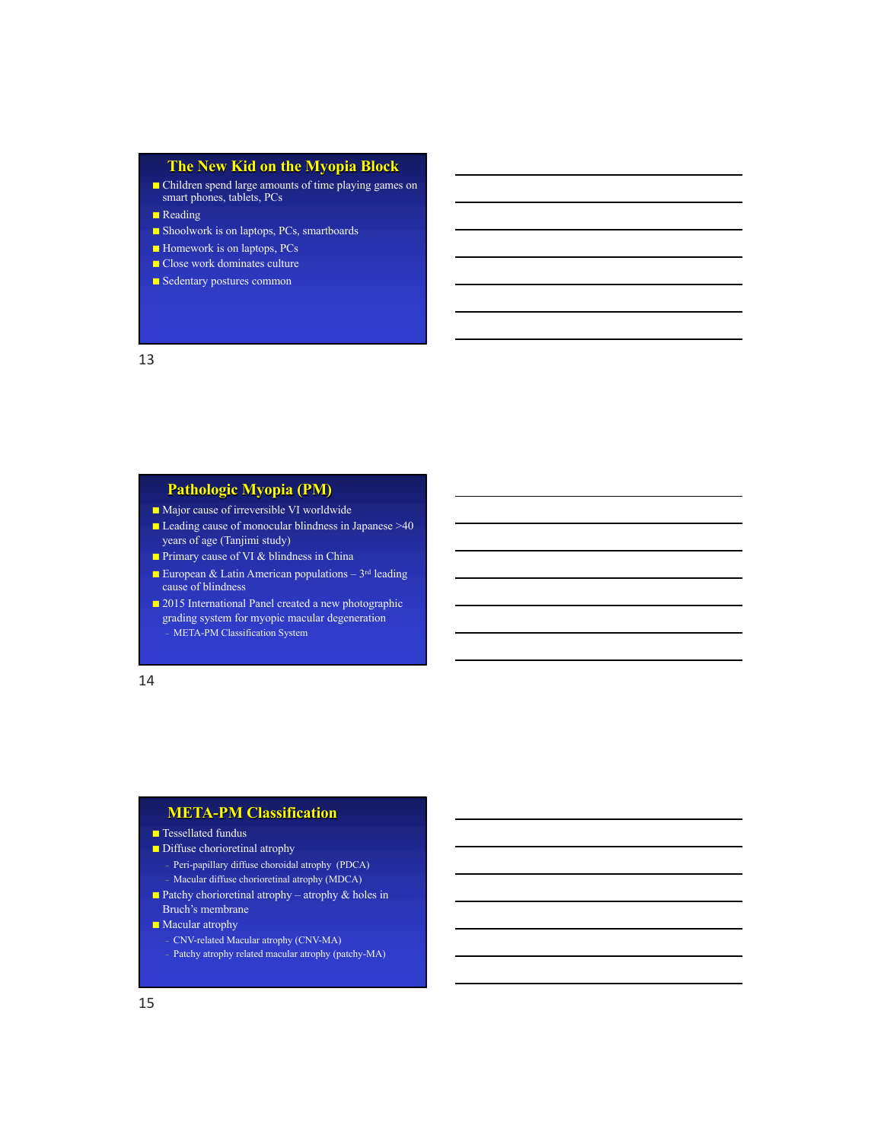## **The New Kid on the Myopia Block**

■ Children spend large amounts of time playing games on smart phones, tablets, PCs

■ Reading

- Shoolwork is on laptops, PCs, smartboards
- Homework is on laptops, PCs
- Close work dominates culture
- Sedentary postures common

13

# **Pathologic Myopia (PM)**

- Major cause of irreversible VI worldwide
- Leading cause of monocular blindness in Japanese >40 years of age (Tanjimi study)
- Primary cause of VI & blindness in China
- **European & Latin American populations**  $3^{rd}$  leading cause of blindness
- 2015 International Panel created a new photographic grading system for myopic macular degeneration – META-PM Classification System

14

#### **META-PM Classification**

#### ■ Tessellated fundus

- Diffuse chorioretinal atrophy
	- Peri-papillary diffuse choroidal atrophy (PDCA) – Macular diffuse chorioretinal atrophy (MDCA)
- Patchy chorioretinal atrophy atrophy & holes in Bruch's membrane
- Macular atrophy – CNV-related Macular atrophy (CNV-MA) Patchy atrophy related macular atrophy (patchy-MA)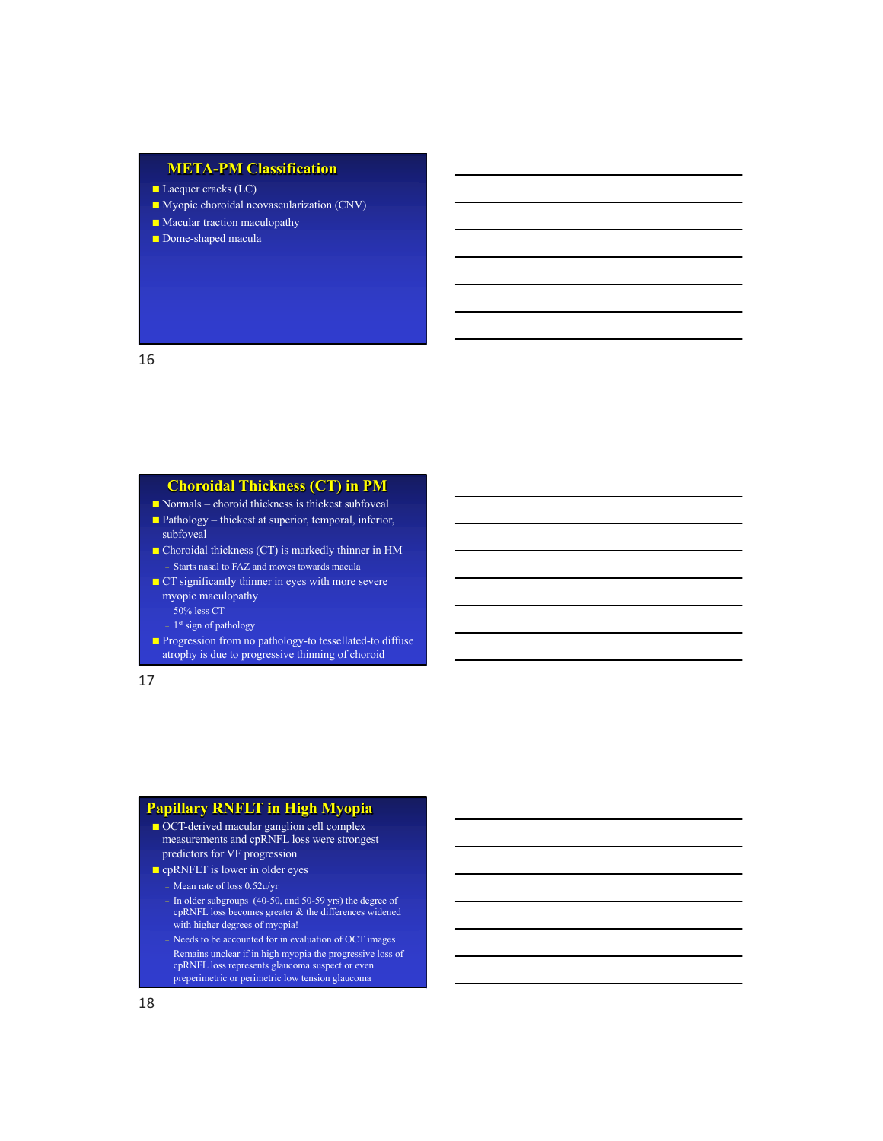# **META-PM Classification**

- Lacquer cracks (LC)
- Myopic choroidal neovascularization (CNV)
- Macular traction maculopathy
- Dome-shaped macula

16

# **Choroidal Thickness (CT) in PM**

- Normals choroid thickness is thickest subfoveal
- Pathology thickest at superior, temporal, inferior, subfoveal
- Choroidal thickness (CT) is markedly thinner in HM – Starts nasal to FAZ and moves towards macula
- CT significantly thinner in eyes with more severe myopic maculopathy  $50\%$  less CT
	- $1^{\rm st}$  sign of pathology
- Progression from no pathology-to tessellated-to diffuse atrophy is due to progressive thinning of choroid

17

#### **Papillary RNFLT in High Myopia**

- OCT-derived macular ganglion cell complex measurements and cpRNFL loss were strongest predictors for VF progression
- cpRNFLT is lower in older eyes
	- Mean rate of loss 0.52u/yr
	- In older subgroups (40-50, and 50-59 yrs) the degree of cpRNFL loss becomes greater & the differences widened with higher degrees of myopia!
	- Needs to be accounted for in evaluation of OCT images
	- Remains unclear if in high myopia the progressive loss of cpRNFL loss represents glaucoma suspect or even preperimetric or perimetric low tension glaucoma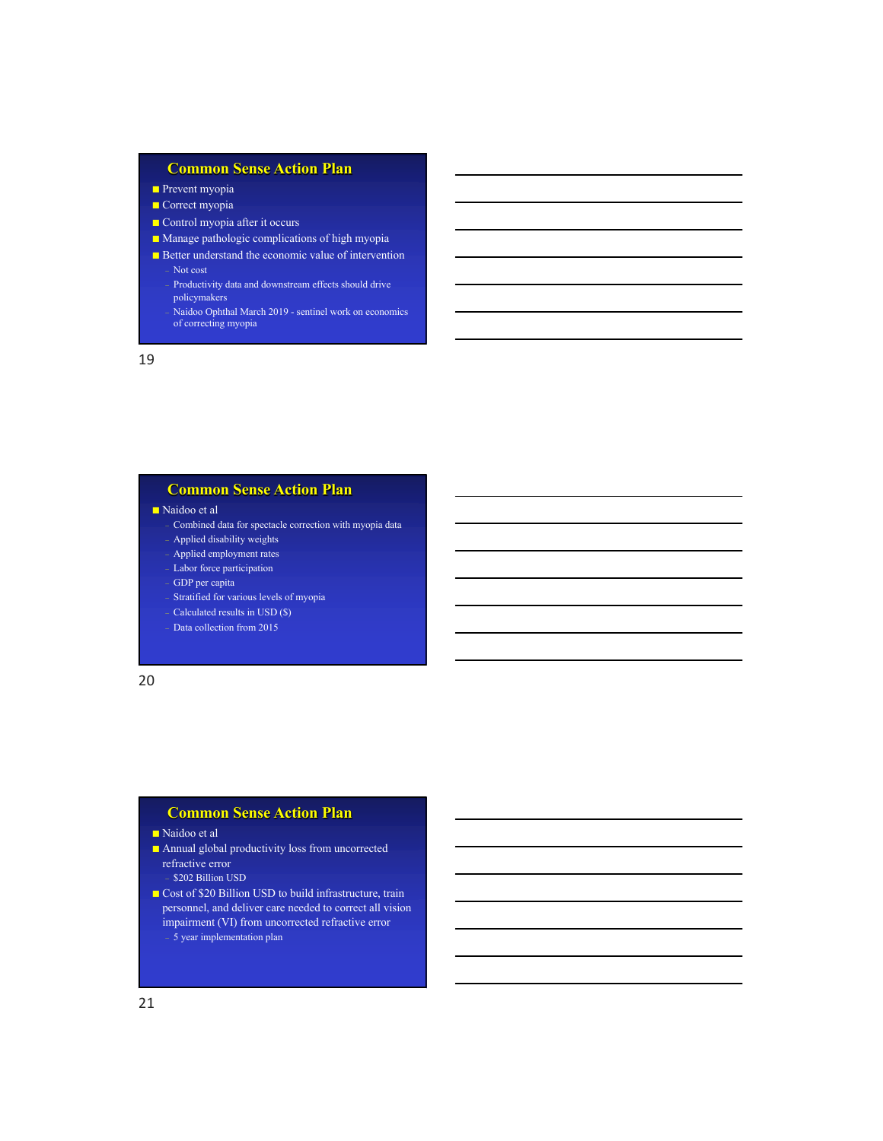# **Common Sense Action Plan**

- Prevent myopia
- Correct myopia
- Control myopia after it occurs
- Manage pathologic complications of high myopia
- Better understand the economic value of intervention – Not cost
	- Productivity data and downstream effects should drive policymakers
	- Naidoo Ophthal March 2019 sentinel work on economics of correcting myopia

19

#### **Common Sense Action Plan**

■ Naidoo et al

- Combined data for spectacle correction with myopia data – Applied disability weights
- Applied employment rates
- Labor force participation
- GDP per capita
- Stratified for various levels of myopia
- Calculated results in USD (\$)
- Data collection from 2015

20

#### **Common Sense Action Plan**

#### ■ Naidoo et al

■ Annual global productivity loss from uncorrected refractive error

– \$202 Billion USD

■ Cost of \$20 Billion USD to build infrastructure, train personnel, and deliver care needed to correct all vision impairment (VI) from uncorrected refractive error – 5 year implementation plan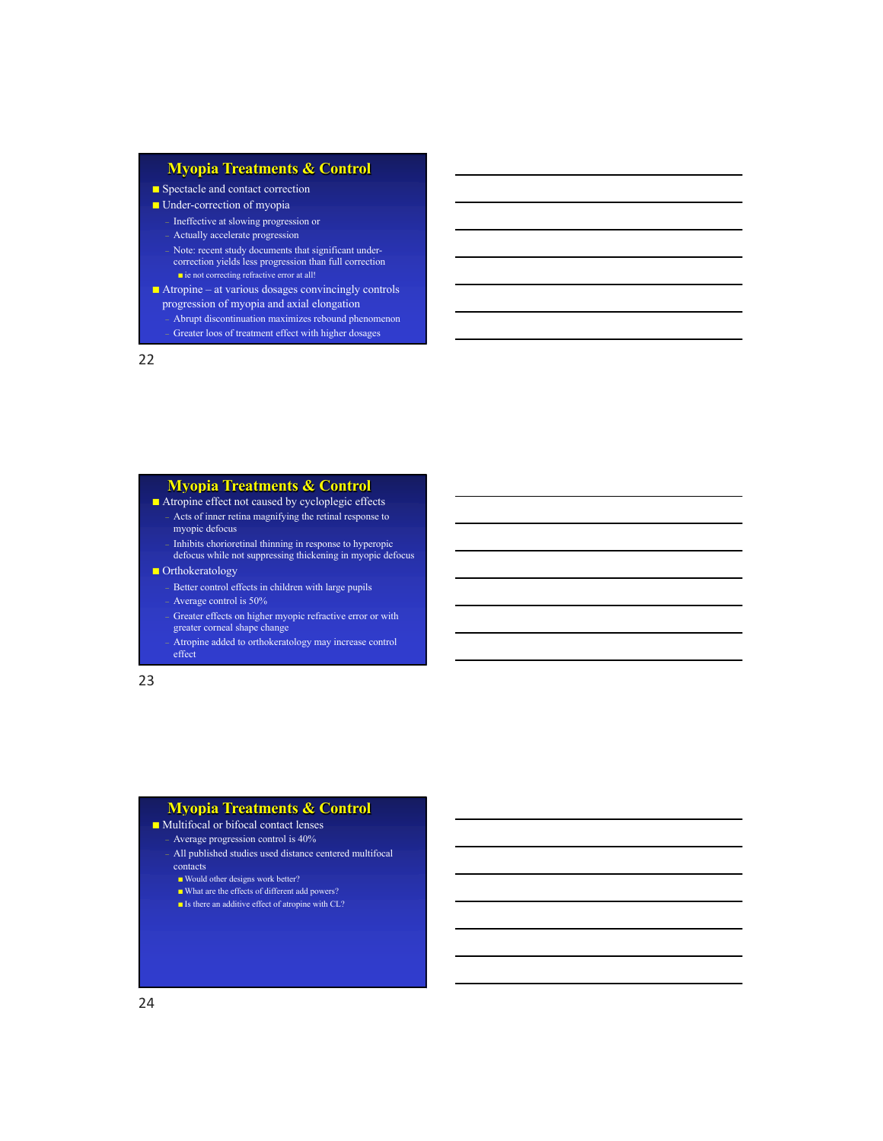## **Myopia Treatments & Control**

#### ■ Spectacle and contact correction

■ Under-correction of myopia

– Ineffective at slowing progression or

– Actually accelerate progression

- Note: recent study documents that significant undercorrection yields less progression than full correction ■ ie not correcting refractive error at all!
- Atropine at various dosages convincingly controls
- progression of myopia and axial elongation – Abrupt discontinuation maximizes rebound phenomenon
	- Greater loos of treatment effect with higher dosages

22

#### **Myopia Treatments & Control**

■ Atropine effect not caused by cycloplegic effects – Acts of inner retina magnifying the retinal response to myopic defocus

– Inhibits chorioretinal thinning in response to hyperopic defocus while not suppressing thickening in myopic defocus

#### ■ Orthokeratology

– Better control effects in children with large pupils

– Average control is 50%

– Greater effects on higher myopic refractive error or with

greater corneal shape change

– Atropine added to orthokeratology may increase control effect

23

#### **Myopia Treatments & Control**

#### ■ Multifocal or bifocal contact lenses

– Average progression control is 40%

– All published studies used distance centered multifocal contacts

- Would other designs work better?
- What are the effects of different add powers?
- $\blacksquare$ <br> <br> Is there an additive effect of atropine with CL?